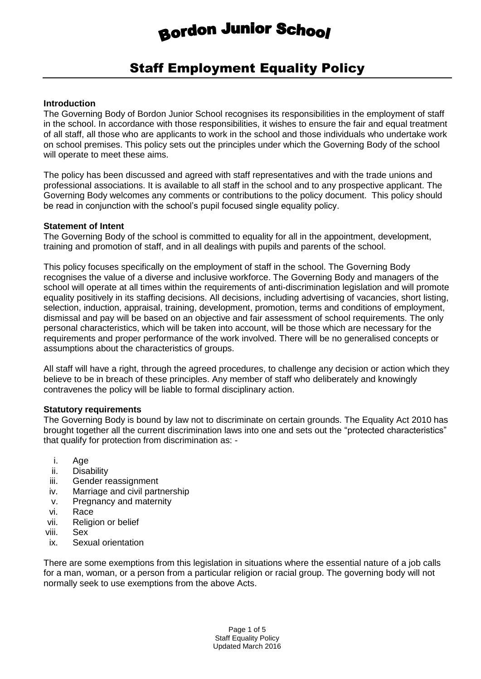# **Bordon Junior School**

# Staff Employment Equality Policy

#### **Introduction**

The Governing Body of Bordon Junior School recognises its responsibilities in the employment of staff in the school. In accordance with those responsibilities, it wishes to ensure the fair and equal treatment of all staff, all those who are applicants to work in the school and those individuals who undertake work on school premises. This policy sets out the principles under which the Governing Body of the school will operate to meet these aims.

The policy has been discussed and agreed with staff representatives and with the trade unions and professional associations. It is available to all staff in the school and to any prospective applicant. The Governing Body welcomes any comments or contributions to the policy document. This policy should be read in conjunction with the school's pupil focused single equality policy.

#### **Statement of Intent**

The Governing Body of the school is committed to equality for all in the appointment, development, training and promotion of staff, and in all dealings with pupils and parents of the school.

This policy focuses specifically on the employment of staff in the school. The Governing Body recognises the value of a diverse and inclusive workforce. The Governing Body and managers of the school will operate at all times within the requirements of anti-discrimination legislation and will promote equality positively in its staffing decisions. All decisions, including advertising of vacancies, short listing, selection, induction, appraisal, training, development, promotion, terms and conditions of employment, dismissal and pay will be based on an objective and fair assessment of school requirements. The only personal characteristics, which will be taken into account, will be those which are necessary for the requirements and proper performance of the work involved. There will be no generalised concepts or assumptions about the characteristics of groups.

All staff will have a right, through the agreed procedures, to challenge any decision or action which they believe to be in breach of these principles. Any member of staff who deliberately and knowingly contravenes the policy will be liable to formal disciplinary action.

#### **Statutory requirements**

The Governing Body is bound by law not to discriminate on certain grounds. The Equality Act 2010 has brought together all the current discrimination laws into one and sets out the "protected characteristics" that qualify for protection from discrimination as: -

- i. Age
- ii. Disability
- iii. Gender reassignment
- iv. Marriage and civil partnership
- v. Pregnancy and maternity
- vi. Race
- vii. Religion or belief
- viii. Sex
- ix. Sexual orientation

There are some exemptions from this legislation in situations where the essential nature of a job calls for a man, woman, or a person from a particular religion or racial group. The governing body will not normally seek to use exemptions from the above Acts.

> Page 1 of 5 Staff Equality Policy Updated March 2016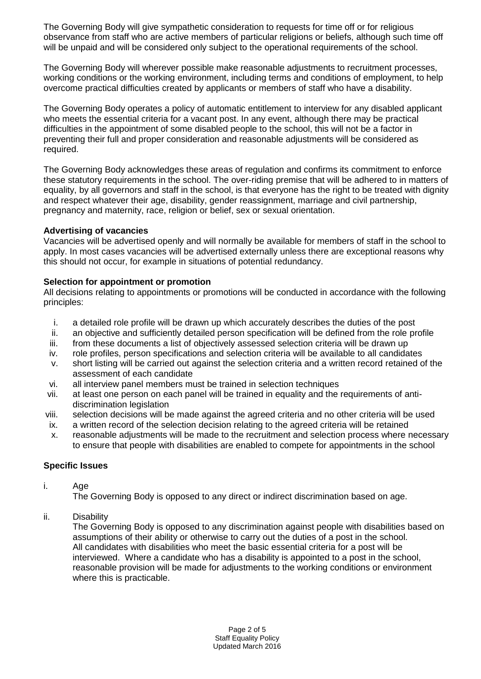The Governing Body will give sympathetic consideration to requests for time off or for religious observance from staff who are active members of particular religions or beliefs, although such time off will be unpaid and will be considered only subject to the operational requirements of the school.

The Governing Body will wherever possible make reasonable adjustments to recruitment processes, working conditions or the working environment, including terms and conditions of employment, to help overcome practical difficulties created by applicants or members of staff who have a disability.

The Governing Body operates a policy of automatic entitlement to interview for any disabled applicant who meets the essential criteria for a vacant post. In any event, although there may be practical difficulties in the appointment of some disabled people to the school, this will not be a factor in preventing their full and proper consideration and reasonable adjustments will be considered as required.

The Governing Body acknowledges these areas of regulation and confirms its commitment to enforce these statutory requirements in the school. The over-riding premise that will be adhered to in matters of equality, by all governors and staff in the school, is that everyone has the right to be treated with dignity and respect whatever their age, disability, gender reassignment, marriage and civil partnership, pregnancy and maternity, race, religion or belief, sex or sexual orientation.

# **Advertising of vacancies**

Vacancies will be advertised openly and will normally be available for members of staff in the school to apply. In most cases vacancies will be advertised externally unless there are exceptional reasons why this should not occur, for example in situations of potential redundancy.

#### **Selection for appointment or promotion**

All decisions relating to appointments or promotions will be conducted in accordance with the following principles:

- i. a detailed role profile will be drawn up which accurately describes the duties of the post
- ii. an objective and sufficiently detailed person specification will be defined from the role profile
- iii. from these documents a list of objectively assessed selection criteria will be drawn up
- iv. role profiles, person specifications and selection criteria will be available to all candidates
- v. short listing will be carried out against the selection criteria and a written record retained of the assessment of each candidate
- vi. all interview panel members must be trained in selection techniques
- vii. at least one person on each panel will be trained in equality and the requirements of antidiscrimination legislation
- viii. selection decisions will be made against the agreed criteria and no other criteria will be used
- ix. a written record of the selection decision relating to the agreed criteria will be retained
- x. reasonable adjustments will be made to the recruitment and selection process where necessary to ensure that people with disabilities are enabled to compete for appointments in the school

#### **Specific Issues**

i. Age

The Governing Body is opposed to any direct or indirect discrimination based on age.

ii. Disability

The Governing Body is opposed to any discrimination against people with disabilities based on assumptions of their ability or otherwise to carry out the duties of a post in the school. All candidates with disabilities who meet the basic essential criteria for a post will be interviewed. Where a candidate who has a disability is appointed to a post in the school, reasonable provision will be made for adjustments to the working conditions or environment where this is practicable.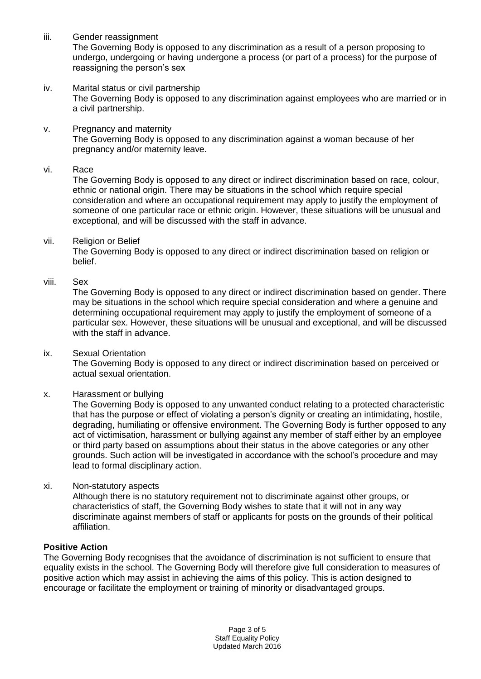iii. Gender reassignment

The Governing Body is opposed to any discrimination as a result of a person proposing to undergo, undergoing or having undergone a process (or part of a process) for the purpose of reassigning the person's sex

- iv. Marital status or civil partnership The Governing Body is opposed to any discrimination against employees who are married or in a civil partnership.
- v. Pregnancy and maternity The Governing Body is opposed to any discrimination against a woman because of her pregnancy and/or maternity leave.
- vi. Race

The Governing Body is opposed to any direct or indirect discrimination based on race, colour, ethnic or national origin. There may be situations in the school which require special consideration and where an occupational requirement may apply to justify the employment of someone of one particular race or ethnic origin. However, these situations will be unusual and exceptional, and will be discussed with the staff in advance.

vii. Religion or Belief

The Governing Body is opposed to any direct or indirect discrimination based on religion or belief.

viii. Sex

The Governing Body is opposed to any direct or indirect discrimination based on gender. There may be situations in the school which require special consideration and where a genuine and determining occupational requirement may apply to justify the employment of someone of a particular sex. However, these situations will be unusual and exceptional, and will be discussed with the staff in advance.

ix. Sexual Orientation

The Governing Body is opposed to any direct or indirect discrimination based on perceived or actual sexual orientation.

x. Harassment or bullying

The Governing Body is opposed to any unwanted conduct relating to a protected characteristic that has the purpose or effect of violating a person's dignity or creating an intimidating, hostile, degrading, humiliating or offensive environment. The Governing Body is further opposed to any act of victimisation, harassment or bullying against any member of staff either by an employee or third party based on assumptions about their status in the above categories or any other grounds. Such action will be investigated in accordance with the school's procedure and may lead to formal disciplinary action.

xi. Non-statutory aspects

Although there is no statutory requirement not to discriminate against other groups, or characteristics of staff, the Governing Body wishes to state that it will not in any way discriminate against members of staff or applicants for posts on the grounds of their political affiliation.

# **Positive Action**

The Governing Body recognises that the avoidance of discrimination is not sufficient to ensure that equality exists in the school. The Governing Body will therefore give full consideration to measures of positive action which may assist in achieving the aims of this policy. This is action designed to encourage or facilitate the employment or training of minority or disadvantaged groups.

> Page 3 of 5 Staff Equality Policy Updated March 2016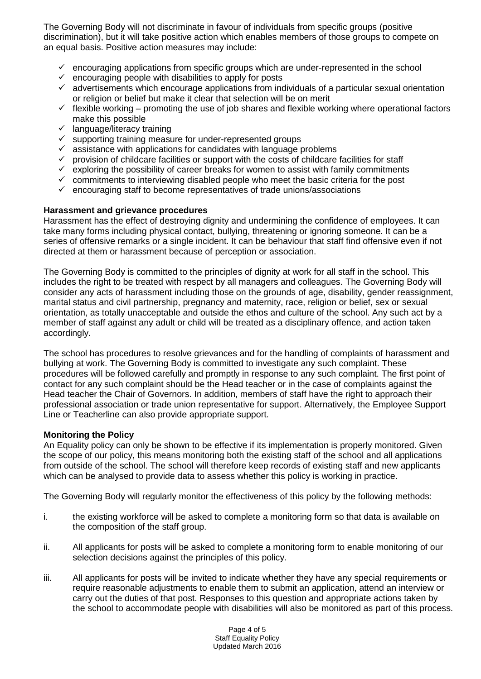The Governing Body will not discriminate in favour of individuals from specific groups (positive discrimination), but it will take positive action which enables members of those groups to compete on an equal basis. Positive action measures may include:

- $\checkmark$  encouraging applications from specific groups which are under-represented in the school
- $\checkmark$  encouraging people with disabilities to apply for posts
- $\checkmark$  advertisements which encourage applications from individuals of a particular sexual orientation or religion or belief but make it clear that selection will be on merit
- $\checkmark$  flexible working promoting the use of job shares and flexible working where operational factors make this possible
- $\checkmark$  language/literacy training
- $\checkmark$  supporting training measure for under-represented groups
- $\checkmark$  assistance with applications for candidates with language problems
- $\checkmark$  provision of childcare facilities or support with the costs of childcare facilities for staff
- $\checkmark$  exploring the possibility of career breaks for women to assist with family commitments
- $\checkmark$  commitments to interviewing disabled people who meet the basic criteria for the post
- $\checkmark$  encouraging staff to become representatives of trade unions/associations

# **Harassment and grievance procedures**

Harassment has the effect of destroying dignity and undermining the confidence of employees. It can take many forms including physical contact, bullying, threatening or ignoring someone. It can be a series of offensive remarks or a single incident. It can be behaviour that staff find offensive even if not directed at them or harassment because of perception or association.

The Governing Body is committed to the principles of dignity at work for all staff in the school. This includes the right to be treated with respect by all managers and colleagues. The Governing Body will consider any acts of harassment including those on the grounds of age, disability, gender reassignment, marital status and civil partnership, pregnancy and maternity, race, religion or belief, sex or sexual orientation, as totally unacceptable and outside the ethos and culture of the school. Any such act by a member of staff against any adult or child will be treated as a disciplinary offence, and action taken accordingly.

The school has procedures to resolve grievances and for the handling of complaints of harassment and bullying at work. The Governing Body is committed to investigate any such complaint. These procedures will be followed carefully and promptly in response to any such complaint. The first point of contact for any such complaint should be the Head teacher or in the case of complaints against the Head teacher the Chair of Governors. In addition, members of staff have the right to approach their professional association or trade union representative for support. Alternatively, the Employee Support Line or Teacherline can also provide appropriate support.

# **Monitoring the Policy**

An Equality policy can only be shown to be effective if its implementation is properly monitored. Given the scope of our policy, this means monitoring both the existing staff of the school and all applications from outside of the school. The school will therefore keep records of existing staff and new applicants which can be analysed to provide data to assess whether this policy is working in practice.

The Governing Body will regularly monitor the effectiveness of this policy by the following methods:

- i. the existing workforce will be asked to complete a monitoring form so that data is available on the composition of the staff group.
- ii. All applicants for posts will be asked to complete a monitoring form to enable monitoring of our selection decisions against the principles of this policy.
- iii. All applicants for posts will be invited to indicate whether they have any special requirements or require reasonable adjustments to enable them to submit an application, attend an interview or carry out the duties of that post. Responses to this question and appropriate actions taken by the school to accommodate people with disabilities will also be monitored as part of this process.

Page 4 of 5 Staff Equality Policy Updated March 2016